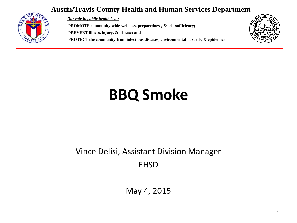#### **Austin/Travis County Health and Human Services Department**



*Our role in public health is to:* **PROMOTE community-wide wellness, preparedness, & self-sufficiency; PREVENT illness, injury, & disease; and PROTECT the community from infectious diseases, environmental hazards, & epidemics**



## **BBQ Smoke**

#### Vince Delisi, Assistant Division Manager EHSD

May 4, 2015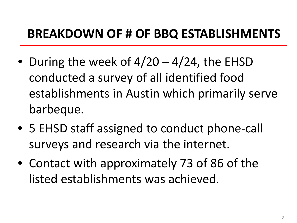### **BREAKDOWN OF # OF BBQ ESTABLISHMENTS**

- During the week of  $4/20 4/24$ , the EHSD conducted a survey of all identified food establishments in Austin which primarily serve barbeque.
- 5 EHSD staff assigned to conduct phone-call surveys and research via the internet.
- Contact with approximately 73 of 86 of the listed establishments was achieved.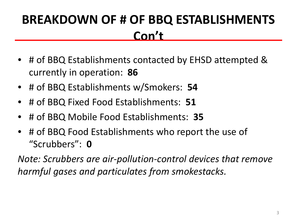### **BREAKDOWN OF # OF BBQ ESTABLISHMENTS Con't**

- # of BBQ Establishments contacted by EHSD attempted & currently in operation: **86**
- # of BBQ Establishments w/Smokers: **54**
- # of BBQ Fixed Food Establishments: **51**
- # of BBQ Mobile Food Establishments: **35**
- # of BBQ Food Establishments who report the use of "Scrubbers": **0**

*Note: Scrubbers are air-pollution-control devices that remove harmful gases and particulates from smokestacks.*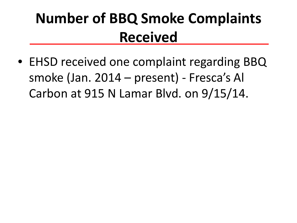### **Number of BBQ Smoke Complaints Received**

• EHSD received one complaint regarding BBQ smoke (Jan. 2014 – present) - Fresca's Al Carbon at 915 N Lamar Blvd. on 9/15/14.